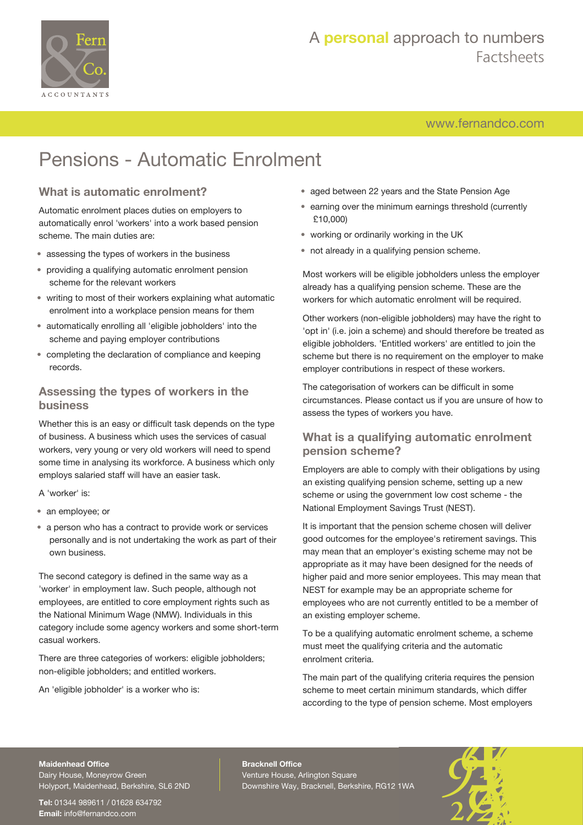

[www.fernandco.com](http://www.fernandco.com)

# Pensions - Automatic Enrolment

#### **What is automatic enrolment?**

Automatic enrolment places duties on employers to automatically enrol 'workers' into a work based pension scheme. The main duties are:

- assessing the types of workers in the business
- providing a qualifying automatic enrolment pension scheme for the relevant workers
- writing to most of their workers explaining what automatic enrolment into a workplace pension means for them
- automatically enrolling all 'eligible jobholders' into the scheme and paying employer contributions
- completing the declaration of compliance and keeping records.

#### **Assessing the types of workers in the business**

Whether this is an easy or difficult task depends on the type of business. A business which uses the services of casual workers, very young or very old workers will need to spend some time in analysing its workforce. A business which only employs salaried staff will have an easier task.

A 'worker' is:

- an employee; or
- a person who has a contract to provide work or services personally and is not undertaking the work as part of their own business.

The second category is defined in the same way as a 'worker' in employment law. Such people, although not employees, are entitled to core employment rights such as the National Minimum Wage (NMW). Individuals in this category include some agency workers and some short-term casual workers.

There are three categories of workers: eligible jobholders; non-eligible jobholders; and entitled workers.

An 'eligible jobholder' is a worker who is:

- aged between 22 years and the State Pension Age
- earning over the minimum earnings threshold (currently £10,000)
- working or ordinarily working in the UK
- not already in a qualifying pension scheme.

Most workers will be eligible jobholders unless the employer already has a qualifying pension scheme. These are the workers for which automatic enrolment will be required.

Other workers (non-eligible jobholders) may have the right to 'opt in' (i.e. join a scheme) and should therefore be treated as eligible jobholders. 'Entitled workers' are entitled to join the scheme but there is no requirement on the employer to make employer contributions in respect of these workers.

The categorisation of workers can be difficult in some circumstances. Please contact us if you are unsure of how to assess the types of workers you have.

#### **What is a qualifying automatic enrolment pension scheme?**

Employers are able to comply with their obligations by using an existing qualifying pension scheme, setting up a new scheme or using the government low cost scheme - the National Employment Savings Trust (NEST).

It is important that the pension scheme chosen will deliver good outcomes for the employee's retirement savings. This may mean that an employer's existing scheme may not be appropriate as it may have been designed for the needs of higher paid and more senior employees. This may mean that NEST for example may be an appropriate scheme for employees who are not currently entitled to be a member of an existing employer scheme.

To be a qualifying automatic enrolment scheme, a scheme must meet the qualifying criteria and the automatic enrolment criteria.

The main part of the qualifying criteria requires the pension scheme to meet certain minimum standards, which differ according to the type of pension scheme. Most employers

#### **Maidenhead Office**

Dairy House, Moneyrow Green Holyport, Maidenhead, Berkshire, SL6 2ND

**Tel:** 01344 989611 / 01628 634792 **Email:** [info@fernandco.com](mailto:info@fernandco.com)

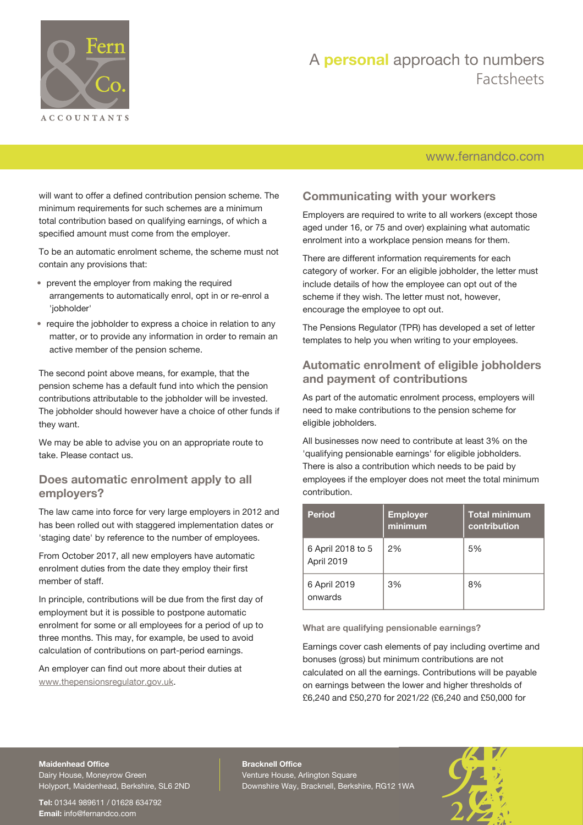

### [www.fernandco.com](http://www.fernandco.com)

will want to offer a defined contribution pension scheme. The minimum requirements for such schemes are a minimum total contribution based on qualifying earnings, of which a specified amount must come from the employer.

To be an automatic enrolment scheme, the scheme must not contain any provisions that:

- prevent the employer from making the required arrangements to automatically enrol, opt in or re-enrol a 'jobholder'
- require the jobholder to express a choice in relation to any matter, or to provide any information in order to remain an active member of the pension scheme.

The second point above means, for example, that the pension scheme has a default fund into which the pension contributions attributable to the jobholder will be invested. The jobholder should however have a choice of other funds if they want.

We may be able to advise you on an appropriate route to take. Please contact us.

#### **Does automatic enrolment apply to all employers?**

The law came into force for very large employers in 2012 and has been rolled out with staggered implementation dates or 'staging date' by reference to the number of employees.

From October 2017, all new employers have automatic enrolment duties from the date they employ their first member of staff.

In principle, contributions will be due from the first day of employment but it is possible to postpone automatic enrolment for some or all employees for a period of up to three months. This may, for example, be used to avoid calculation of contributions on part-period earnings.

An employer can find out more about their duties at [www.thepensionsregulator.gov.uk](http://www.thepensionsregulator.gov.uk/).

#### **Communicating with your workers**

Employers are required to write to all workers (except those aged under 16, or 75 and over) explaining what automatic enrolment into a workplace pension means for them.

There are different information requirements for each category of worker. For an eligible jobholder, the letter must include details of how the employee can opt out of the scheme if they wish. The letter must not, however, encourage the employee to opt out.

The Pensions Regulator (TPR) has developed a set of letter templates to help you when writing to your employees.

#### **Automatic enrolment of eligible jobholders and payment of contributions**

As part of the automatic enrolment process, employers will need to make contributions to the pension scheme for eligible jobholders.

All businesses now need to contribute at least 3% on the 'qualifying pensionable earnings' for eligible jobholders. There is also a contribution which needs to be paid by employees if the employer does not meet the total minimum contribution.

| Period                          | <b>Employer</b><br>minimum | <b>Total minimum</b><br>contribution |
|---------------------------------|----------------------------|--------------------------------------|
| 6 April 2018 to 5<br>April 2019 | 2%                         | 5%                                   |
| 6 April 2019<br>onwards         | 3%                         | 8%                                   |

**What are qualifying pensionable earnings?**

Earnings cover cash elements of pay including overtime and bonuses (gross) but minimum contributions are not calculated on all the earnings. Contributions will be payable on earnings between the lower and higher thresholds of £6,240 and £50,270 for 2021/22 (£6,240 and £50,000 for

#### **Maidenhead Office**

Dairy House, Moneyrow Green Holyport, Maidenhead, Berkshire, SL6 2ND

**Tel:** 01344 989611 / 01628 634792 **Email:** [info@fernandco.com](mailto:info@fernandco.com)

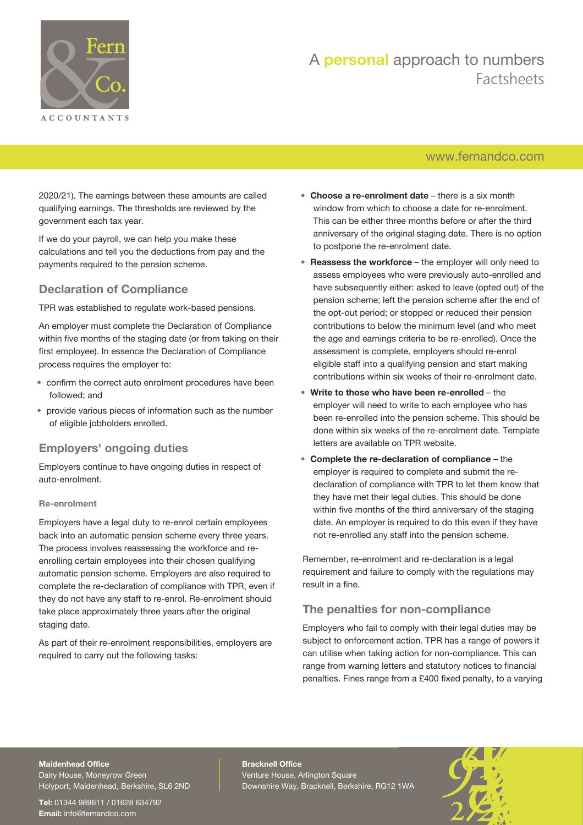

### [www.fernandco.com](http://www.fernandco.com)

2020/21). The earnings between these amounts are called qualifying earnings. The thresholds are reviewed by the government each tax year.

If we do your payroll, we can help you make these calculations and tell you the deductions from pay and the payments required to the pension scheme.

#### **Declaration of Compliance**

TPR was established to regulate work-based pensions.

An employer must complete the Declaration of Compliance within five months of the staging date (or from taking on their first employee). In essence the Declaration of Compliance process requires the employer to:

- confirm the correct auto enrolment procedures have been followed; and
- provide various pieces of information such as the number of eligible jobholders enrolled.

#### **Employers' ongoing duties**

Employers continue to have ongoing duties in respect of auto-enrolment.

#### **Re-enrolment**

Employers have a legal duty to re-enrol certain employees back into an automatic pension scheme every three years. The process involves reassessing the workforce and reenrolling certain employees into their chosen qualifying automatic pension scheme. Employers are also required to complete the re-declaration of compliance with TPR, even if they do not have any staff to re-enrol. Re-enrolment should take place approximately three years after the original staging date.

As part of their re-enrolment responsibilities, employers are required to carry out the following tasks:

- **Choose a re-enrolment date** there is a six month window from which to choose a date for re-enrolment. This can be either three months before or after the third anniversary of the original staging date. There is no option to postpone the re-enrolment date.
- **Reassess the workforce** the employer will only need to assess employees who were previously auto-enrolled and have subsequently either: asked to leave (opted out) of the pension scheme; left the pension scheme after the end of the opt-out period; or stopped or reduced their pension contributions to below the minimum level (and who meet the age and earnings criteria to be re-enrolled). Once the assessment is complete, employers should re-enrol eligible staff into a qualifying pension and start making contributions within six weeks of their re-enrolment date.
- **Write to those who have been re-enrolled** the employer will need to write to each employee who has been re-enrolled into the pension scheme. This should be done within six weeks of the re-enrolment date. Template letters are available on TPR website.
- **Complete the re-declaration of compliance** the employer is required to complete and submit the redeclaration of compliance with TPR to let them know that they have met their legal duties. This should be done within five months of the third anniversary of the staging date. An employer is required to do this even if they have not re-enrolled any staff into the pension scheme.

Remember, re-enrolment and re-declaration is a legal requirement and failure to comply with the regulations may result in a fine.

#### **The penalties for non-compliance**

Employers who fail to comply with their legal duties may be subject to enforcement action. TPR has a range of powers it can utilise when taking action for non-compliance. This can range from warning letters and statutory notices to financial penalties. Fines range from a £400 fixed penalty, to a varying

### **Maidenhead Office**

Dairy House, Moneyrow Green Holyport, Maidenhead, Berkshire, SL6 2ND

**Tel:** 01344 989611 / 01628 634792 **Email:** [info@fernandco.com](mailto:info@fernandco.com)